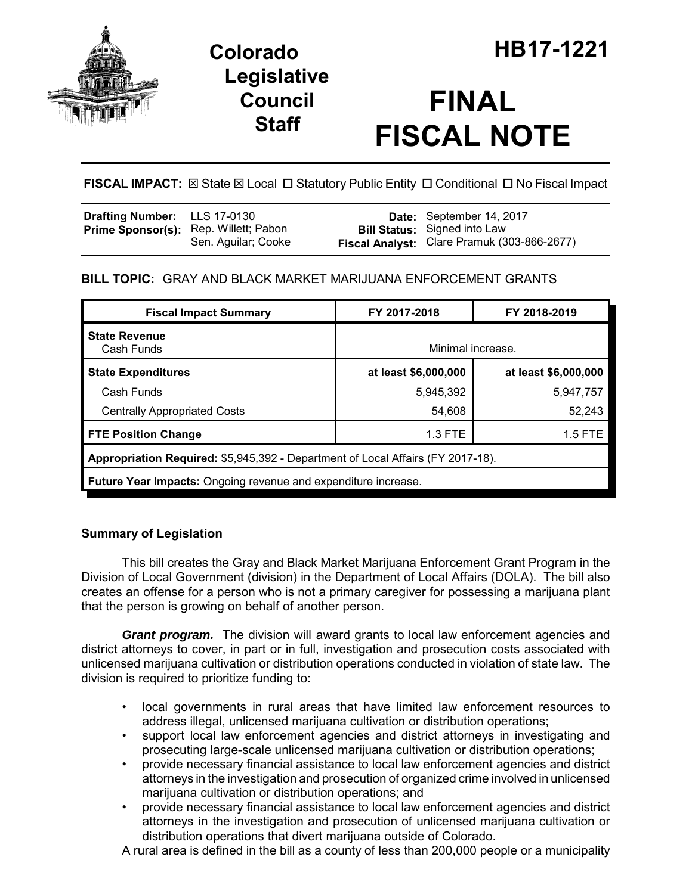

## **Legislative Council Staff**

# **FINAL FISCAL NOTE**

**FISCAL IMPACT:** ⊠ State ⊠ Local □ Statutory Public Entity □ Conditional □ No Fiscal Impact

| <b>Drafting Number:</b> LLS 17-0130 |                                                              | Date: September 14, 2017                                                           |
|-------------------------------------|--------------------------------------------------------------|------------------------------------------------------------------------------------|
|                                     | Prime Sponsor(s): Rep. Willett; Pabon<br>Sen. Aguilar; Cooke | <b>Bill Status:</b> Signed into Law<br>Fiscal Analyst: Clare Pramuk (303-866-2677) |

## **BILL TOPIC:** GRAY AND BLACK MARKET MARIJUANA ENFORCEMENT GRANTS

| <b>Fiscal Impact Summary</b>                                                    | FY 2017-2018         | FY 2018-2019         |  |  |  |
|---------------------------------------------------------------------------------|----------------------|----------------------|--|--|--|
| <b>State Revenue</b><br>Cash Funds                                              | Minimal increase.    |                      |  |  |  |
| <b>State Expenditures</b>                                                       | at least \$6,000,000 | at least \$6,000,000 |  |  |  |
| Cash Funds                                                                      | 5,945,392            | 5,947,757            |  |  |  |
| <b>Centrally Appropriated Costs</b>                                             | 54,608               | 52,243               |  |  |  |
| <b>FTE Position Change</b>                                                      | 1.3 FTE              | $1.5$ FTE            |  |  |  |
| Appropriation Required: \$5,945,392 - Department of Local Affairs (FY 2017-18). |                      |                      |  |  |  |
| <b>Future Year Impacts:</b> Ongoing revenue and expenditure increase.           |                      |                      |  |  |  |
|                                                                                 |                      |                      |  |  |  |

### **Summary of Legislation**

This bill creates the Gray and Black Market Marijuana Enforcement Grant Program in the Division of Local Government (division) in the Department of Local Affairs (DOLA). The bill also creates an offense for a person who is not a primary caregiver for possessing a marijuana plant that the person is growing on behalf of another person.

*Grant program.* The division will award grants to local law enforcement agencies and district attorneys to cover, in part or in full, investigation and prosecution costs associated with unlicensed marijuana cultivation or distribution operations conducted in violation of state law. The division is required to prioritize funding to:

- local governments in rural areas that have limited law enforcement resources to address illegal, unlicensed marijuana cultivation or distribution operations;
- support local law enforcement agencies and district attorneys in investigating and prosecuting large-scale unlicensed marijuana cultivation or distribution operations;
- provide necessary financial assistance to local law enforcement agencies and district attorneys in the investigation and prosecution of organized crime involved in unlicensed marijuana cultivation or distribution operations; and
- provide necessary financial assistance to local law enforcement agencies and district attorneys in the investigation and prosecution of unlicensed marijuana cultivation or distribution operations that divert marijuana outside of Colorado.

A rural area is defined in the bill as a county of less than 200,000 people or a municipality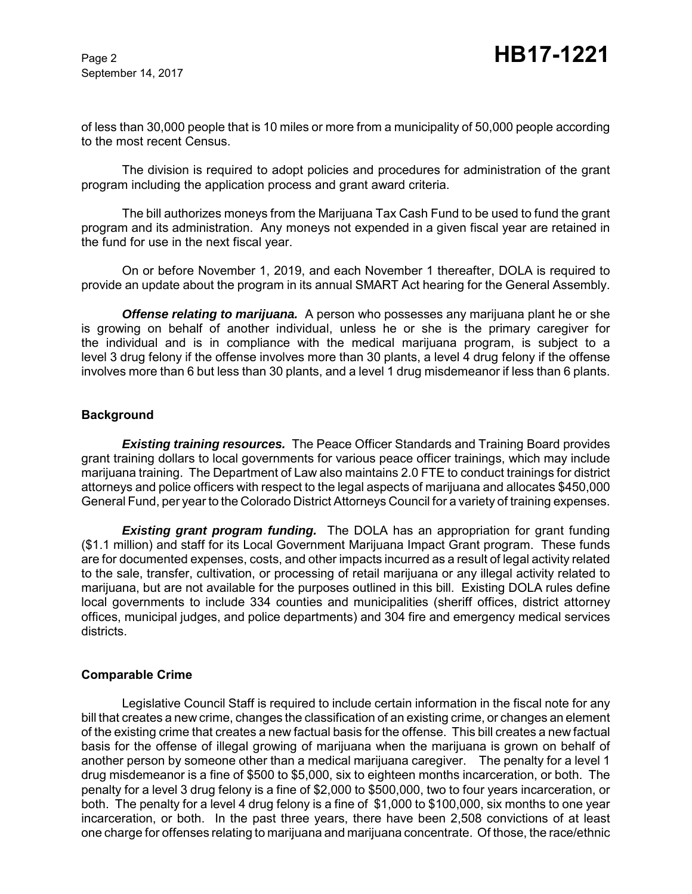of less than 30,000 people that is 10 miles or more from a municipality of 50,000 people according to the most recent Census.

The division is required to adopt policies and procedures for administration of the grant program including the application process and grant award criteria.

The bill authorizes moneys from the Marijuana Tax Cash Fund to be used to fund the grant program and its administration. Any moneys not expended in a given fiscal year are retained in the fund for use in the next fiscal year.

On or before November 1, 2019, and each November 1 thereafter, DOLA is required to provide an update about the program in its annual SMART Act hearing for the General Assembly.

*Offense relating to marijuana.* A person who possesses any marijuana plant he or she is growing on behalf of another individual, unless he or she is the primary caregiver for the individual and is in compliance with the medical marijuana program, is subject to a level 3 drug felony if the offense involves more than 30 plants, a level 4 drug felony if the offense involves more than 6 but less than 30 plants, and a level 1 drug misdemeanor if less than 6 plants.

#### **Background**

*Existing training resources.* The Peace Officer Standards and Training Board provides grant training dollars to local governments for various peace officer trainings, which may include marijuana training. The Department of Law also maintains 2.0 FTE to conduct trainings for district attorneys and police officers with respect to the legal aspects of marijuana and allocates \$450,000 General Fund, per year to the Colorado District Attorneys Council for a variety of training expenses.

*Existing grant program funding.* The DOLA has an appropriation for grant funding (\$1.1 million) and staff for its Local Government Marijuana Impact Grant program. These funds are for documented expenses, costs, and other impacts incurred as a result of legal activity related to the sale, transfer, cultivation, or processing of retail marijuana or any illegal activity related to marijuana, but are not available for the purposes outlined in this bill. Existing DOLA rules define local governments to include 334 counties and municipalities (sheriff offices, district attorney offices, municipal judges, and police departments) and 304 fire and emergency medical services districts.

#### **Comparable Crime**

Legislative Council Staff is required to include certain information in the fiscal note for any bill that creates a new crime, changes the classification of an existing crime, or changes an element of the existing crime that creates a new factual basis for the offense. This bill creates a new factual basis for the offense of illegal growing of marijuana when the marijuana is grown on behalf of another person by someone other than a medical marijuana caregiver. The penalty for a level 1 drug misdemeanor is a fine of \$500 to \$5,000, six to eighteen months incarceration, or both. The penalty for a level 3 drug felony is a fine of \$2,000 to \$500,000, two to four years incarceration, or both. The penalty for a level 4 drug felony is a fine of \$1,000 to \$100,000, six months to one year incarceration, or both. In the past three years, there have been 2,508 convictions of at least one charge for offenses relating to marijuana and marijuana concentrate. Of those, the race/ethnic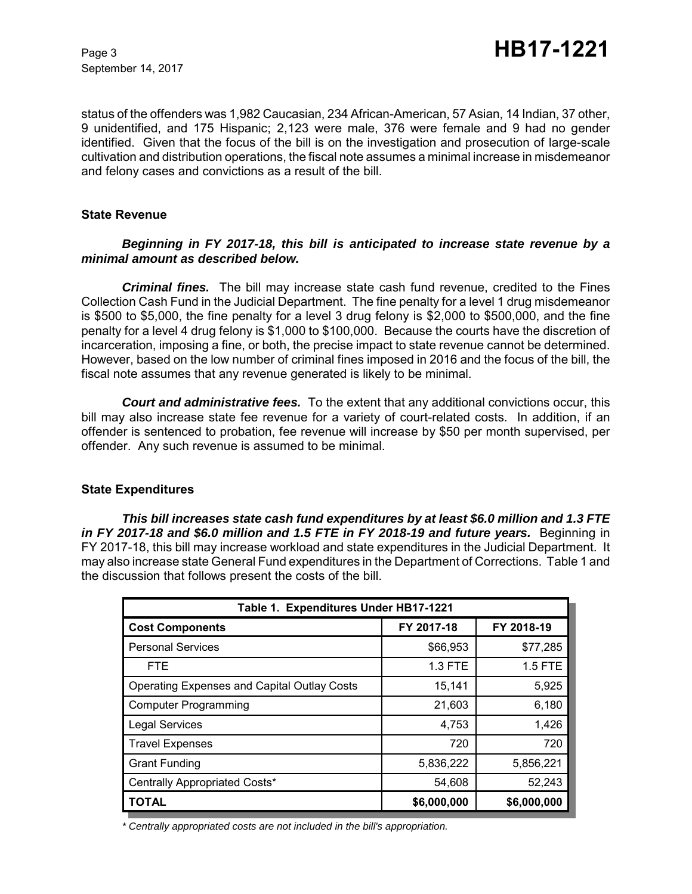status of the offenders was 1,982 Caucasian, 234 African-American, 57 Asian, 14 Indian, 37 other, 9 unidentified, and 175 Hispanic; 2,123 were male, 376 were female and 9 had no gender identified. Given that the focus of the bill is on the investigation and prosecution of large-scale cultivation and distribution operations, the fiscal note assumes a minimal increase in misdemeanor and felony cases and convictions as a result of the bill.

#### **State Revenue**

#### *Beginning in FY 2017-18, this bill is anticipated to increase state revenue by a minimal amount as described below.*

*Criminal fines.* The bill may increase state cash fund revenue, credited to the Fines Collection Cash Fund in the Judicial Department. The fine penalty for a level 1 drug misdemeanor is \$500 to \$5,000, the fine penalty for a level 3 drug felony is \$2,000 to \$500,000, and the fine penalty for a level 4 drug felony is \$1,000 to \$100,000. Because the courts have the discretion of incarceration, imposing a fine, or both, the precise impact to state revenue cannot be determined. However, based on the low number of criminal fines imposed in 2016 and the focus of the bill, the fiscal note assumes that any revenue generated is likely to be minimal.

*Court and administrative fees.* To the extent that any additional convictions occur, this bill may also increase state fee revenue for a variety of court-related costs. In addition, if an offender is sentenced to probation, fee revenue will increase by \$50 per month supervised, per offender. Any such revenue is assumed to be minimal.

#### **State Expenditures**

*This bill increases state cash fund expenditures by at least \$6.0 million and 1.3 FTE* in FY 2017-18 and \$6.0 million and 1.5 FTE in FY 2018-19 and future years. Beginning in FY 2017-18, this bill may increase workload and state expenditures in the Judicial Department. It may also increase state General Fund expenditures in the Department of Corrections. Table 1 and the discussion that follows present the costs of the bill.

| Table 1. Expenditures Under HB17-1221              |             |             |  |  |  |  |
|----------------------------------------------------|-------------|-------------|--|--|--|--|
| <b>Cost Components</b>                             | FY 2017-18  | FY 2018-19  |  |  |  |  |
| <b>Personal Services</b>                           | \$66,953    | \$77,285    |  |  |  |  |
| <b>FTE</b>                                         | $1.3$ FTE   | $1.5$ FTE   |  |  |  |  |
| <b>Operating Expenses and Capital Outlay Costs</b> | 15,141      | 5,925       |  |  |  |  |
| <b>Computer Programming</b>                        | 21,603      | 6,180       |  |  |  |  |
| <b>Legal Services</b>                              | 4,753       | 1,426       |  |  |  |  |
| <b>Travel Expenses</b>                             | 720         | 720         |  |  |  |  |
| <b>Grant Funding</b>                               | 5,836,222   | 5,856,221   |  |  |  |  |
| Centrally Appropriated Costs*                      | 54,608      | 52,243      |  |  |  |  |
| <b>TOTAL</b>                                       | \$6,000,000 | \$6,000,000 |  |  |  |  |

*\* Centrally appropriated costs are not included in the bill's appropriation.*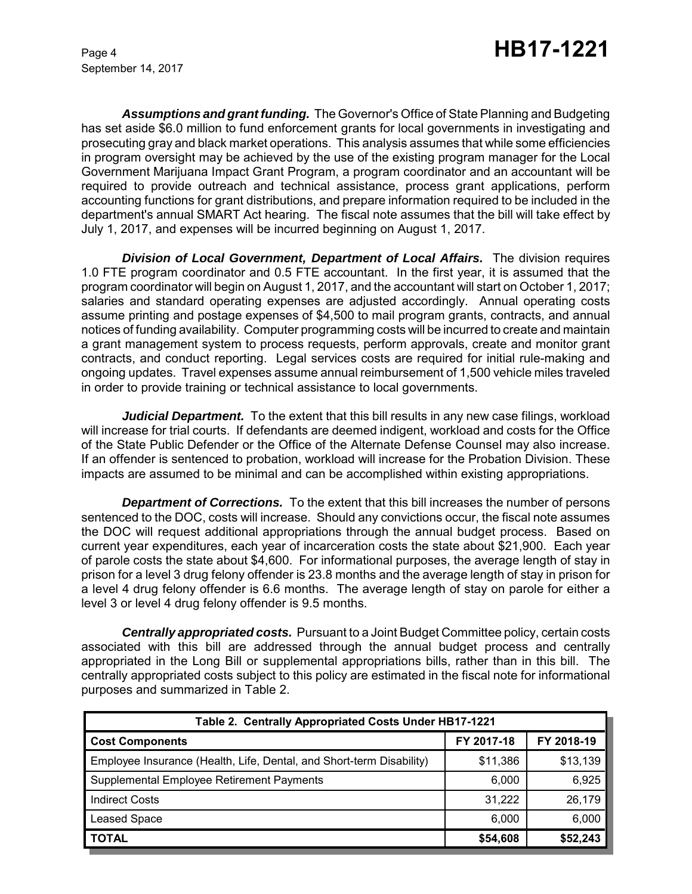*Assumptions and grant funding.* The Governor's Office of State Planning and Budgeting has set aside \$6.0 million to fund enforcement grants for local governments in investigating and prosecuting gray and black market operations. This analysis assumes that while some efficiencies in program oversight may be achieved by the use of the existing program manager for the Local Government Marijuana Impact Grant Program, a program coordinator and an accountant will be required to provide outreach and technical assistance, process grant applications, perform accounting functions for grant distributions, and prepare information required to be included in the department's annual SMART Act hearing. The fiscal note assumes that the bill will take effect by July 1, 2017, and expenses will be incurred beginning on August 1, 2017.

**Division of Local Government, Department of Local Affairs.** The division requires 1.0 FTE program coordinator and 0.5 FTE accountant. In the first year, it is assumed that the program coordinator will begin on August 1, 2017, and the accountant will start on October 1, 2017; salaries and standard operating expenses are adjusted accordingly. Annual operating costs assume printing and postage expenses of \$4,500 to mail program grants, contracts, and annual notices of funding availability. Computer programming costs will be incurred to create and maintain a grant management system to process requests, perform approvals, create and monitor grant contracts, and conduct reporting. Legal services costs are required for initial rule-making and ongoing updates. Travel expenses assume annual reimbursement of 1,500 vehicle miles traveled in order to provide training or technical assistance to local governments.

*Judicial Department.* To the extent that this bill results in any new case filings, workload will increase for trial courts. If defendants are deemed indigent, workload and costs for the Office of the State Public Defender or the Office of the Alternate Defense Counsel may also increase. If an offender is sentenced to probation, workload will increase for the Probation Division. These impacts are assumed to be minimal and can be accomplished within existing appropriations.

**Department of Corrections.** To the extent that this bill increases the number of persons sentenced to the DOC, costs will increase. Should any convictions occur, the fiscal note assumes the DOC will request additional appropriations through the annual budget process. Based on current year expenditures, each year of incarceration costs the state about \$21,900. Each year of parole costs the state about \$4,600. For informational purposes, the average length of stay in prison for a level 3 drug felony offender is 23.8 months and the average length of stay in prison for a level 4 drug felony offender is 6.6 months. The average length of stay on parole for either a level 3 or level 4 drug felony offender is 9.5 months.

*Centrally appropriated costs.* Pursuant to a Joint Budget Committee policy, certain costs associated with this bill are addressed through the annual budget process and centrally appropriated in the Long Bill or supplemental appropriations bills, rather than in this bill. The centrally appropriated costs subject to this policy are estimated in the fiscal note for informational purposes and summarized in Table 2.

| Table 2. Centrally Appropriated Costs Under HB17-1221                |            |            |  |  |  |
|----------------------------------------------------------------------|------------|------------|--|--|--|
| <b>Cost Components</b>                                               | FY 2017-18 | FY 2018-19 |  |  |  |
| Employee Insurance (Health, Life, Dental, and Short-term Disability) | \$11,386   | \$13,139   |  |  |  |
| Supplemental Employee Retirement Payments                            | 6,000      | 6,925      |  |  |  |
| <b>Indirect Costs</b>                                                | 31,222     | 26,179     |  |  |  |
| <b>Leased Space</b>                                                  | 6,000      | 6,000      |  |  |  |
| <b>TOTAL</b>                                                         | \$54,608   | \$52,243   |  |  |  |